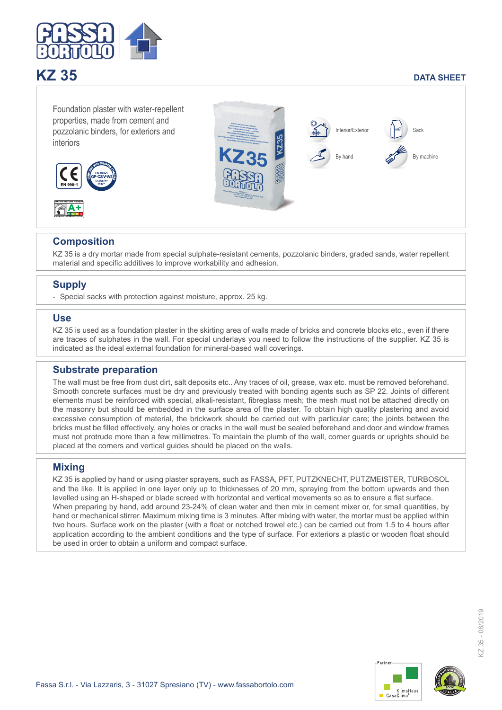

# **KZ 35** DATA SHEET

Foundation plaster with water-repellent properties, made from cement and pozzolanic binders, for exteriors and interiors





### **Composition**

KZ 35 is a dry mortar made from special sulphate-resistant cements, pozzolanic binders, graded sands, water repellent material and specific additives to improve workability and adhesion.

## **Supply**

- Special sacks with protection against moisture, approx. 25 kg.

#### **Use**

KZ 35 is used as a foundation plaster in the skirting area of walls made of bricks and concrete blocks etc., even if there are traces of sulphates in the wall. For special underlays you need to follow the instructions of the supplier. KZ 35 is indicated as the ideal external foundation for mineral-based wall coverings.

#### **Substrate preparation**

The wall must be free from dust dirt, salt deposits etc.. Any traces of oil, grease, wax etc. must be removed beforehand. Smooth concrete surfaces must be dry and previously treated with bonding agents such as SP 22. Joints of different elements must be reinforced with special, alkali-resistant, fibreglass mesh; the mesh must not be attached directly on the masonry but should be embedded in the surface area of the plaster. To obtain high quality plastering and avoid excessive consumption of material, the brickwork should be carried out with particular care; the joints between the bricks must be filled effectively, any holes or cracks in the wall must be sealed beforehand and door and window frames must not protrude more than a few millimetres. To maintain the plumb of the wall, corner guards or uprights should be placed at the corners and vertical guides should be placed on the walls.

#### **Mixing**

KZ 35 is applied by hand or using plaster sprayers, such as FASSA, PFT, PUTZKNECHT, PUTZMEISTER, TURBOSOL and the like. It is applied in one layer only up to thicknesses of 20 mm, spraying from the bottom upwards and then levelled using an H-shaped or blade screed with horizontal and vertical movements so as to ensure a flat surface. When preparing by hand, add around 23-24% of clean water and then mix in cement mixer or, for small quantities, by hand or mechanical stirrer. Maximum mixing time is 3 minutes. After mixing with water, the mortar must be applied within two hours. Surface work on the plaster (with a float or notched trowel etc.) can be carried out from 1.5 to 4 hours after application according to the ambient conditions and the type of surface. For exteriors a plastic or wooden float should be used in order to obtain a uniform and compact surface.